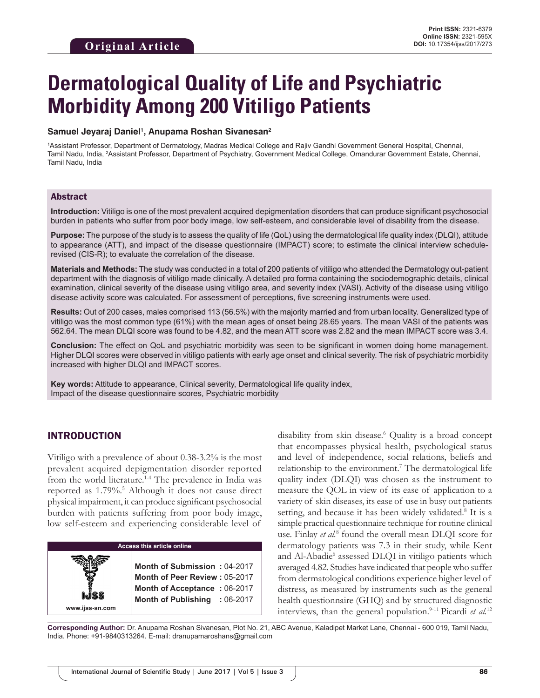# **Dermatological Quality of Life and Psychiatric Morbidity Among 200 Vitiligo Patients**

#### **Samuel Jeyaraj Daniel1 , Anupama Roshan Sivanesan2**

1 Assistant Professor, Department of Dermatology, Madras Medical College and Rajiv Gandhi Government General Hospital, Chennai, Tamil Nadu, India, 2 Assistant Professor, Department of Psychiatry, Government Medical College, Omandurar Government Estate, Chennai, Tamil Nadu, India

#### Abstract

**Introduction:** Vitiligo is one of the most prevalent acquired depigmentation disorders that can produce significant psychosocial burden in patients who suffer from poor body image, low self-esteem, and considerable level of disability from the disease.

**Purpose:** The purpose of the study is to assess the quality of life (QoL) using the dermatological life quality index (DLQI), attitude to appearance (ATT), and impact of the disease questionnaire (IMPACT) score; to estimate the clinical interview schedulerevised (CIS-R); to evaluate the correlation of the disease.

**Materials and Methods:** The study was conducted in a total of 200 patients of vitiligo who attended the Dermatology out-patient department with the diagnosis of vitiligo made clinically. A detailed pro forma containing the sociodemographic details, clinical examination, clinical severity of the disease using vitiligo area, and severity index (VASI). Activity of the disease using vitiligo disease activity score was calculated. For assessment of perceptions, five screening instruments were used.

**Results:** Out of 200 cases, males comprised 113 (56.5%) with the majority married and from urban locality. Generalized type of vitiligo was the most common type (61%) with the mean ages of onset being 28.65 years. The mean VASI of the patients was 562.64. The mean DLQI score was found to be 4.82, and the mean ATT score was 2.82 and the mean IMPACT score was 3.4.

**Conclusion:** The effect on QoL and psychiatric morbidity was seen to be significant in women doing home management. Higher DLQI scores were observed in vitiligo patients with early age onset and clinical severity. The risk of psychiatric morbidity increased with higher DLQI and IMPACT scores.

**Key words:** Attitude to appearance, Clinical severity, Dermatological life quality index, Impact of the disease questionnaire scores, Psychiatric morbidity

# INTRODUCTION

**www.ijss-sn.com**

Vitiligo with a prevalence of about 0.38-3.2% is the most prevalent acquired depigmentation disorder reported from the world literature.<sup>1-4</sup> The prevalence in India was reported as 1.79%.<sup>5</sup> Although it does not cause direct physical impairment, it can produce significant psychosocial burden with patients suffering from poor body image, low self-esteem and experiencing considerable level of

#### **Access this article online**

**Month of Submission :** 04-2017 **Month of Peer Review :** 05-2017 **Month of Acceptance :** 06-2017 **Month of Publishing :** 06-2017

disability from skin disease.6 Quality is a broad concept that encompasses physical health, psychological status and level of independence, social relations, beliefs and relationship to the environment.<sup>7</sup> The dermatological life quality index (DLQI) was chosen as the instrument to measure the QOL in view of its ease of application to a variety of skin diseases, its ease of use in busy out patients setting, and because it has been widely validated.<sup>8</sup> It is a simple practical questionnaire technique for routine clinical use. Finlay *et al.*<sup>8</sup> found the overall mean DLQI score for dermatology patients was 7.3 in their study, while Kent and Al-Abadie<sup>6</sup> assessed DLQI in vitiligo patients which averaged 4.82. Studies have indicated that people who suffer from dermatological conditions experience higher level of distress, as measured by instruments such as the general health questionnaire (GHQ) and by structured diagnostic interviews, than the general population.<sup>9-11</sup> Picardi *et al.*<sup>12</sup>

**Corresponding Author:** Dr. Anupama Roshan Sivanesan, Plot No. 21, ABC Avenue, Kaladipet Market Lane, Chennai - 600 019, Tamil Nadu, India. Phone: +91-9840313264. E-mail: dranupamaroshans@gmail.com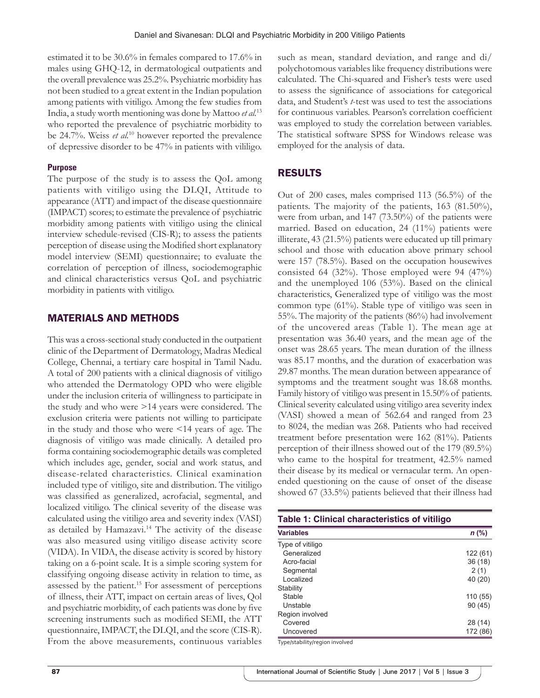estimated it to be 30.6% in females compared to 17.6% in males using GHQ-12, in dermatological outpatients and the overall prevalence was 25.2%. Psychiatric morbidity has not been studied to a great extent in the Indian population among patients with vitiligo. Among the few studies from India, a study worth mentioning was done by Mattoo *et al.*<sup>13</sup> who reported the prevalence of psychiatric morbidity to be 24.7%. Weiss *et al.*10 however reported the prevalence of depressive disorder to be 47% in patients with vililigo.

# **Purpose**

The purpose of the study is to assess the QoL among patients with vitiligo using the DLQI, Attitude to appearance (ATT) and impact of the disease questionnaire (IMPACT) scores; to estimate the prevalence of psychiatric morbidity among patients with vitiligo using the clinical interview schedule-revised (CIS-R); to assess the patients perception of disease using the Modified short explanatory model interview (SEMI) questionnaire; to evaluate the correlation of perception of illness, sociodemographic and clinical characteristics versus QoL and psychiatric morbidity in patients with vitiligo.

# MATERIALS AND METHODS

This was a cross-sectional study conducted in the outpatient clinic of the Department of Dermatology, Madras Medical College, Chennai, a tertiary care hospital in Tamil Nadu. A total of 200 patients with a clinical diagnosis of vitiligo who attended the Dermatology OPD who were eligible under the inclusion criteria of willingness to participate in the study and who were >14 years were considered. The exclusion criteria were patients not willing to participate in the study and those who were <14 years of age. The diagnosis of vitiligo was made clinically. A detailed pro forma containing sociodemographic details was completed which includes age, gender, social and work status, and disease-related characteristics. Clinical examination included type of vitiligo, site and distribution. The vitiligo was classified as generalized, acrofacial, segmental, and localized vitiligo. The clinical severity of the disease was calculated using the vitiligo area and severity index (VASI) as detailed by Hamazavi.<sup>14</sup> The activity of the disease was also measured using vitiligo disease activity score (VIDA). In VIDA, the disease activity is scored by history taking on a 6-point scale. It is a simple scoring system for classifying ongoing disease activity in relation to time, as assessed by the patient.<sup>15</sup> For assessment of perceptions of illness, their ATT, impact on certain areas of lives, Qol and psychiatric morbidity, of each patients was done by five screening instruments such as modified SEMI, the ATT questionnaire, IMPACT, the DLQI, and the score (CIS-R). From the above measurements, continuous variables such as mean, standard deviation, and range and di/ polychotomous variables like frequency distributions were calculated. The Chi-squared and Fisher's tests were used to assess the significance of associations for categorical data, and Student's *t*-test was used to test the associations for continuous variables. Pearson's correlation coefficient was employed to study the correlation between variables. The statistical software SPSS for Windows release was employed for the analysis of data.

# RESULTS

Out of 200 cases, males comprised 113 (56.5%) of the patients. The majority of the patients, 163 (81.50%), were from urban, and 147 (73.50%) of the patients were married. Based on education, 24 (11%) patients were illiterate, 43 (21.5%) patients were educated up till primary school and those with education above primary school were 157 (78.5%). Based on the occupation housewives consisted 64 (32%). Those employed were 94 (47%) and the unemployed 106 (53%). Based on the clinical characteristics, Generalized type of vitiligo was the most common type (61%). Stable type of vitiligo was seen in 55%. The majority of the patients (86%) had involvement of the uncovered areas (Table 1). The mean age at presentation was 36.40 years, and the mean age of the onset was 28.65 years. The mean duration of the illness was 85.17 months, and the duration of exacerbation was 29.87 months. The mean duration between appearance of symptoms and the treatment sought was 18.68 months. Family history of vitiligo was present in 15.50% of patients. Clinical severity calculated using vitiligo area severity index (VASI) showed a mean of 562.64 and ranged from 23 to 8024, the median was 268. Patients who had received treatment before presentation were 162 (81%). Patients perception of their illness showed out of the 179 (89.5%) who came to the hospital for treatment, 42.5% named their disease by its medical or vernacular term. An openended questioning on the cause of onset of the disease showed 67 (33.5%) patients believed that their illness had

| Table 1: Clinical characteristics of vitiligo |          |
|-----------------------------------------------|----------|
| <b>Variables</b>                              | $n$ (%)  |
| Type of vitiligo                              |          |
| Generalized                                   | 122(61)  |
| Acro-facial                                   | 36(18)   |
| Segmental                                     | 2(1)     |
| Localized                                     | 40 (20)  |
| Stability                                     |          |
| Stable                                        | 110(55)  |
| Unstable                                      | 90(45)   |
| Region involved                               |          |
| Covered                                       | 28 (14)  |
| Uncovered                                     | 172 (86) |

Type/stability/region involved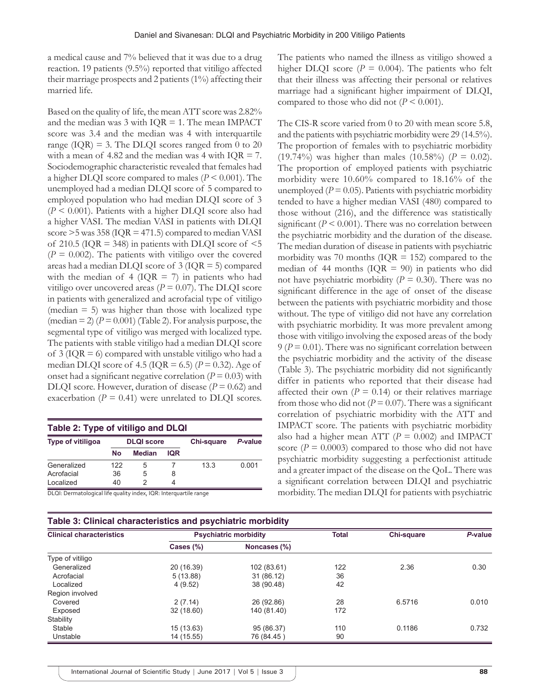a medical cause and 7% believed that it was due to a drug reaction. 19 patients (9.5%) reported that vitiligo affected their marriage prospects and 2 patients (1%) affecting their married life.

Based on the quality of life, the mean ATT score was 2.82% and the median was  $3$  with IQR = 1. The mean IMPACT score was 3.4 and the median was 4 with interquartile range ( $IQR$ ) = 3. The DLQI scores ranged from 0 to 20 with a mean of 4.82 and the median was 4 with  $IQR = 7$ . Sociodemographic characteristic revealed that females had a higher DLQI score compared to males (*P* < 0.001). The unemployed had a median DLQI score of 5 compared to employed population who had median DLQI score of 3 (*P* < 0.001). Patients with a higher DLQI score also had a higher VASI. The median VASI in patients with DLQI score >5 was 358 (IQR = 471.5) compared to median VASI of 210.5 ( $IQR = 348$ ) in patients with DLQI score of  $\leq 5$  $(P = 0.002)$ . The patients with vitiligo over the covered areas had a median DLQI score of 3 (IQR = 5) compared with the median of 4 ( $IQR = 7$ ) in patients who had vitiligo over uncovered areas ( $P = 0.07$ ). The DLQI score in patients with generalized and acrofacial type of vitiligo (median  $= 5$ ) was higher than those with localized type  $(\text{median} = 2)$   $(P = 0.001)$  (Table 2). For analysis purpose, the segmental type of vitiligo was merged with localized type. The patients with stable vitiligo had a median DLQI score of  $3$  (IQR = 6) compared with unstable vitiligo who had a median DLQI score of  $4.5$  (IQR = 6.5) ( $P = 0.32$ ). Age of onset had a significant negative correlation  $(P = 0.03)$  with DLQI score. However, duration of disease  $(P = 0.62)$  and exacerbation ( $P = 0.41$ ) were unrelated to DLQI scores.

| Table 2: Type of vitiligo and DLQI |                   |               |            |            |         |  |  |
|------------------------------------|-------------------|---------------|------------|------------|---------|--|--|
| Type of vitiligoa                  | <b>DLQI</b> score |               |            | Chi-square | P-value |  |  |
|                                    | No                | <b>Median</b> | <b>IQR</b> |            |         |  |  |
| Generalized                        | 122               | 5             |            | 13.3       | 0.001   |  |  |
| Acrofacial                         | 36                | 5             | 8          |            |         |  |  |
| Localized                          | 40                | 2             | 4          |            |         |  |  |

DLQI: Dermatological life quality index, IQR: Interquartile range

The patients who named the illness as vitiligo showed a higher DLQI score ( $P = 0.004$ ). The patients who felt that their illness was affecting their personal or relatives marriage had a significant higher impairment of DLQI, compared to those who did not  $(P < 0.001)$ .

The CIS-R score varied from 0 to 20 with mean score 5.8, and the patients with psychiatric morbidity were 29 (14.5%). The proportion of females with to psychiatric morbidity (19.74%) was higher than males (10.58%) ( $P = 0.02$ ). The proportion of employed patients with psychiatric morbidity were 10.60% compared to 18.16% of the unemployed  $(P = 0.05)$ . Patients with psychiatric morbidity tended to have a higher median VASI (480) compared to those without (216), and the difference was statistically significant  $(P \le 0.001)$ . There was no correlation between the psychiatric morbidity and the duration of the disease. The median duration of disease in patients with psychiatric morbidity was 70 months ( $IQR = 152$ ) compared to the median of 44 months ( $IQR = 90$ ) in patients who did not have psychiatric morbidity ( $P = 0.30$ ). There was no significant difference in the age of onset of the disease between the patients with psychiatric morbidity and those without. The type of vitiligo did not have any correlation with psychiatric morbidity. It was more prevalent among those with vitiligo involving the exposed areas of the body  $9 (P = 0.01)$ . There was no significant correlation between the psychiatric morbidity and the activity of the disease (Table 3). The psychiatric morbidity did not significantly differ in patients who reported that their disease had affected their own  $(P = 0.14)$  or their relatives marriage from those who did not ( $P = 0.07$ ). There was a significant correlation of psychiatric morbidity with the ATT and IMPACT score. The patients with psychiatric morbidity also had a higher mean ATT ( $P = 0.002$ ) and IMPACT score ( $P = 0.0003$ ) compared to those who did not have psychiatric morbidity suggesting a perfectionist attitude and a greater impact of the disease on the QoL. There was a significant correlation between DLQI and psychiatric morbidity. The median DLQI for patients with psychiatric

| Table 3: Clinical characteristics and psychiatric morbidity |                              |              |              |                   |         |  |
|-------------------------------------------------------------|------------------------------|--------------|--------------|-------------------|---------|--|
| <b>Clinical characteristics</b>                             | <b>Psychiatric morbidity</b> |              | <b>Total</b> | <b>Chi-square</b> | P-value |  |
|                                                             | Cases $(\%)$                 | Noncases (%) |              |                   |         |  |
| Type of vitiligo                                            |                              |              |              |                   |         |  |
| Generalized                                                 | 20 (16.39)                   | 102 (83.61)  | 122          | 2.36              | 0.30    |  |
| Acrofacial                                                  | 5(13.88)                     | 31 (86.12)   | 36           |                   |         |  |
| Localized                                                   | 4 (9.52)                     | 38 (90.48)   | 42           |                   |         |  |
| Region involved                                             |                              |              |              |                   |         |  |
| Covered                                                     | 2(7.14)                      | 26 (92.86)   | 28           | 6.5716            | 0.010   |  |
| Exposed                                                     | 32 (18.60)                   | 140 (81.40)  | 172          |                   |         |  |
| Stability                                                   |                              |              |              |                   |         |  |
| Stable                                                      | 15 (13.63)                   | 95 (86.37)   | 110          | 0.1186            | 0.732   |  |
| Unstable                                                    | 14 (15.55)                   | 76 (84.45)   | 90           |                   |         |  |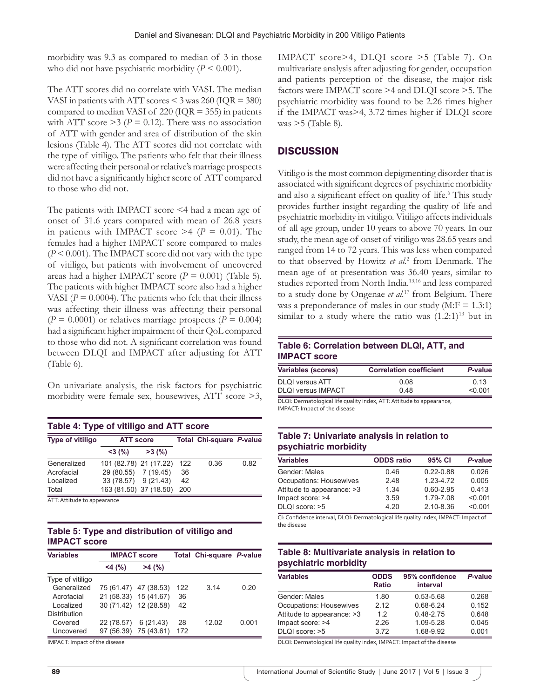morbidity was 9.3 as compared to median of 3 in those who did not have psychiatric morbidity  $(P \le 0.001)$ .

The ATT scores did no correlate with VASI. The median VASI in patients with ATT scores < 3 was 260 (IQR = 380) compared to median VASI of 220 ( $IQR = 355$ ) in patients with ATT score  $\geq$ 3 (*P* = 0.12). There was no association of ATT with gender and area of distribution of the skin lesions (Table 4). The ATT scores did not correlate with the type of vitiligo. The patients who felt that their illness were affecting their personal or relative's marriage prospects did not have a significantly higher score of ATT compared to those who did not.

The patients with IMPACT score <4 had a mean age of onset of 31.6 years compared with mean of 26.8 years in patients with IMPACT score  $\geq 4$  ( $P = 0.01$ ). The females had a higher IMPACT score compared to males (*P* < 0.001). The IMPACT score did not vary with the type of vitiligo, but patients with involvement of uncovered areas had a higher IMPACT score  $(P = 0.001)$  (Table 5). The patients with higher IMPACT score also had a higher VASI ( $P = 0.0004$ ). The patients who felt that their illness was affecting their illness was affecting their personal  $(P = 0.0001)$  or relatives marriage prospects  $(P = 0.004)$ had a significant higher impairment of their QoL compared to those who did not. A significant correlation was found between DLQI and IMPACT after adjusting for ATT (Table 6).

On univariate analysis, the risk factors for psychiatric morbidity were female sex, housewives, ATT score >3,

| Table 4: Type of vitiligo and ATT score |                        |       |     |                                 |      |  |
|-----------------------------------------|------------------------|-------|-----|---------------------------------|------|--|
| <b>Type of vitiligo</b>                 | <b>ATT score</b>       |       |     | <b>Total Chi-square P-value</b> |      |  |
|                                         | $<$ 3 (%)              | >3(%) |     |                                 |      |  |
| Generalized                             | 101 (82.78) 21 (17.22) |       | 122 | 0.36                            | 0.82 |  |
| Acrofacial                              | 29 (80.55) 7 (19.45)   |       | 36  |                                 |      |  |
| Localized                               | 33 (78.57) 9 (21.43)   |       | 42  |                                 |      |  |
| Total                                   | 163 (81.50) 37 (18.50) |       | 200 |                                 |      |  |

ATT: Attitude to appearance

# **Table 5: Type and distribution of vitiligo and IMPACT score**

| <b>Variables</b>    | <b>IMPACT score</b>   |                       |     | Total Chi-square P-value |       |
|---------------------|-----------------------|-----------------------|-----|--------------------------|-------|
|                     | $<$ 4 (%)             | $>4$ (%)              |     |                          |       |
| Type of vitiligo    |                       |                       |     |                          |       |
| Generalized         |                       | 75 (61.47) 47 (38.53) | 122 | 314                      | 0.20  |
| Acrofacial          |                       | 21 (58.33) 15 (41.67) | 36  |                          |       |
| Localized           | 30 (71.42) 12 (28.58) |                       | 42  |                          |       |
| <b>Distribution</b> |                       |                       |     |                          |       |
| Covered             | 22 (78.57)            | 6(21.43)              | 28  | 12 02                    | 0.001 |
| Uncovered           | 97 (56.39)            | 75 (43.61)            | 172 |                          |       |

IMPACT: Impact of the disease

IMPACT score>4, DLQI score >5 (Table 7). On multivariate analysis after adjusting for gender, occupation and patients perception of the disease, the major risk factors were IMPACT score >4 and DLQI score >5. The psychiatric morbidity was found to be 2.26 times higher if the IMPACT was>4, 3.72 times higher if DLQI score was  $>5$  (Table 8).

#### **DISCUSSION**

Vitiligo is the most common depigmenting disorder that is associated with significant degrees of psychiatric morbidity and also a significant effect on quality of life.<sup>6</sup> This study provides further insight regarding the quality of life and psychiatric morbidity in vitiligo. Vitiligo affects individuals of all age group, under 10 years to above 70 years. In our study, the mean age of onset of vitiligo was 28.65 years and ranged from 14 to 72 years. This was less when compared to that observed by Howitz *et al.*<sup>2</sup> from Denmark. The mean age of at presentation was 36.40 years, similar to studies reported from North India.13,16 and less compared to a study done by Ongenae *et al.*17 from Belgium. There was a preponderance of males in our study  $(M: F = 1.3:1)$ similar to a study where the ratio was  $(1.2:1)^{13}$  but in

#### **Table 6: Correlation between DLQI, ATT, and IMPACT score**

| <b>Variables (scores)</b> | <b>Correlation coefficient</b> | P-value  |  |
|---------------------------|--------------------------------|----------|--|
| DLQI versus ATT           | 0.08                           | 0 13     |  |
| DLQI versus IMPACT        | 0.48                           | $<$ 0.01 |  |
| - - - - -                 |                                |          |  |

DLQI: Dermatological life quality index, ATT: Attitude to appearance, IMPACT: Impact of the disease

### **Table 7: Univariate analysis in relation to psychiatric morbidity**

| <b>Variables</b>           | <b>ODDS</b> ratio | 95% CI        | P-value |
|----------------------------|-------------------|---------------|---------|
| Gender: Males              | 0.46              | $0.22 - 0.88$ | 0.026   |
| Occupations: Housewives    | 2.48              | 1.23-4.72     | 0.005   |
| Attitude to appearance: >3 | 1.34              | $0.60 - 2.95$ | 0.413   |
| Impact score: >4           | 3.59              | 1.79-7.08     | < 0.001 |
| DLQI score: >5             | 4.20              | 2.10-8.36     | < 0.001 |

CI: Confidence interval, DLQI: Dermatological life quality index, IMPACT: Impact of the disease

#### **Table 8: Multivariate analysis in relation to psychiatric morbidity**

| <b>Variables</b>               | <b>ODDS</b><br><b>Ratio</b> | 95% confidence<br>interval | P-value |
|--------------------------------|-----------------------------|----------------------------|---------|
| Gender: Males                  | 1.80                        | 0.53-5.68                  | 0.268   |
| <b>Occupations: Housewives</b> | 2 1 2                       | 0.68-6.24                  | 0.152   |
| Attitude to appearance: >3     | 12                          | $0.48 - 2.75$              | 0.648   |
| Impact score: >4               | 226                         | 1.09-5.28                  | 0.045   |
| DLQI score: >5                 | 3.72                        | 1.68-9.92                  | 0.001   |

DLQI: Dermatological life quality index, IMPACT: Impact of the disease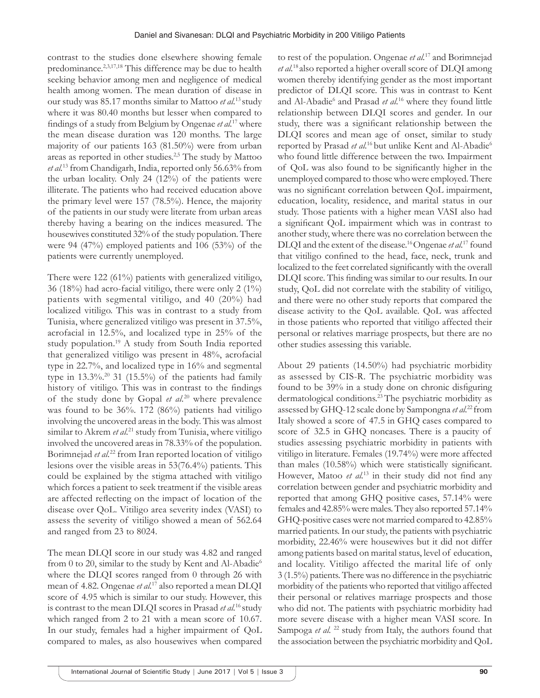contrast to the studies done elsewhere showing female predominance.<sup>2,3,17,18</sup> This difference may be due to health seeking behavior among men and negligence of medical health among women. The mean duration of disease in our study was 85.17 months similar to Mattoo *et al.*13 study where it was 80.40 months but lesser when compared to findings of a study from Belgium by Ongenae *et al.*17 where the mean disease duration was 120 months. The large majority of our patients 163 (81.50%) were from urban areas as reported in other studies.2,5 The study by Mattoo *et al.*13 from Chandigarh, India, reported only 56.63% from the urban locality. Only 24 (12%) of the patients were illiterate. The patients who had received education above the primary level were 157 (78.5%). Hence, the majority of the patients in our study were literate from urban areas thereby having a bearing on the indices measured. The housewives constituted 32% of the study population. There were 94 (47%) employed patients and 106 (53%) of the patients were currently unemployed.

There were 122 (61%) patients with generalized vitiligo, 36 (18%) had acro-facial vitiligo, there were only 2 (1%) patients with segmental vitiligo, and 40 (20%) had localized vitiligo. This was in contrast to a study from Tunisia, where generalized vitiligo was present in 37.5%, acrofacial in 12.5%, and localized type in 25% of the study population.19 A study from South India reported that generalized vitiligo was present in 48%, acrofacial type in 22.7%, and localized type in 16% and segmental type in  $13.3\%$ .<sup>20</sup> 31 (15.5%) of the patients had family history of vitiligo. This was in contrast to the findings of the study done by Gopal *et al.*20 where prevalence was found to be 36%. 172 (86%) patients had vitiligo involving the uncovered areas in the body. This was almost similar to Akrem *et al.*<sup>21</sup> study from Tunisia, where vitiligo involved the uncovered areas in 78.33% of the population. Borimnejad *et al.*22 from Iran reported location of vitiligo lesions over the visible areas in 53(76.4%) patients. This could be explained by the stigma attached with vitiligo which forces a patient to seek treatment if the visible areas are affected reflecting on the impact of location of the disease over QoL. Vitiligo area severity index (VASI) to assess the severity of vitiligo showed a mean of 562.64 and ranged from 23 to 8024.

The mean DLQI score in our study was 4.82 and ranged from 0 to 20, similar to the study by Kent and Al-Abadie<sup>6</sup> where the DLQI scores ranged from 0 through 26 with mean of 4.82. Ongenae *et al.*17 also reported a mean DLQI score of 4.95 which is similar to our study. However, this is contrast to the mean DLQI scores in Prasad *et al.*16 study which ranged from 2 to 21 with a mean score of 10.67. In our study, females had a higher impairment of QoL compared to males, as also housewives when compared

to rest of the population. Ongenae *et al.*17 and Borimnejad *et al.*18 also reported a higher overall score of DLQI among women thereby identifying gender as the most important predictor of DLQI score. This was in contrast to Kent and Al-Abadie<sup>6</sup> and Prasad *et al.*<sup>16</sup> where they found little relationship between DLQI scores and gender. In our study, there was a significant relationship between the DLQI scores and mean age of onset, similar to study reported by Prasad et al.<sup>16</sup> but unlike Kent and Al-Abadie<sup>6</sup> who found little difference between the two. Impairment of QoL was also found to be significantly higher in the unemployed compared to those who were employed. There was no significant correlation between QoL impairment, education, locality, residence, and marital status in our study. Those patients with a higher mean VASI also had a significant QoL impairment which was in contrast to another study, where there was no correlation between the DLQI and the extent of the disease.16 Ongenae *et al.*17 found that vitiligo confined to the head, face, neck, trunk and localized to the feet correlated significantly with the overall DLQI score. This finding was similar to our results. In our study, QoL did not correlate with the stability of vitiligo, and there were no other study reports that compared the disease activity to the QoL available. QoL was affected in those patients who reported that vitiligo affected their personal or relatives marriage prospects, but there are no other studies assessing this variable.

About 29 patients (14.50%) had psychiatric morbidity as assessed by CIS-R. The psychiatric morbidity was found to be 39% in a study done on chronic disfiguring dermatological conditions.23 The psychiatric morbidity as assessed by GHQ-12 scale done by Sampongna *et al.*22 from Italy showed a score of 47.5 in GHQ cases compared to score of 32.5 in GHQ noncases. There is a paucity of studies assessing psychiatric morbidity in patients with vitiligo in literature. Females (19.74%) were more affected than males (10.58%) which were statistically significant. However, Matoo et al.<sup>13</sup> in their study did not find any correlation between gender and psychiatric morbidity and reported that among GHQ positive cases, 57.14% were females and 42.85% were males. They also reported 57.14% GHQ-positive cases were not married compared to 42.85% married patients. In our study, the patients with psychiatric morbidity, 22.46% were housewives but it did not differ among patients based on marital status, level of education, and locality. Vitiligo affected the marital life of only 3 (1.5%) patients. There was no difference in the psychiatric morbidity of the patients who reported that vitiligo affected their personal or relatives marriage prospects and those who did not. The patients with psychiatric morbidity had more severe disease with a higher mean VASI score. In Sampoga *et al.* <sup>22</sup> study from Italy, the authors found that the association between the psychiatric morbidity and QoL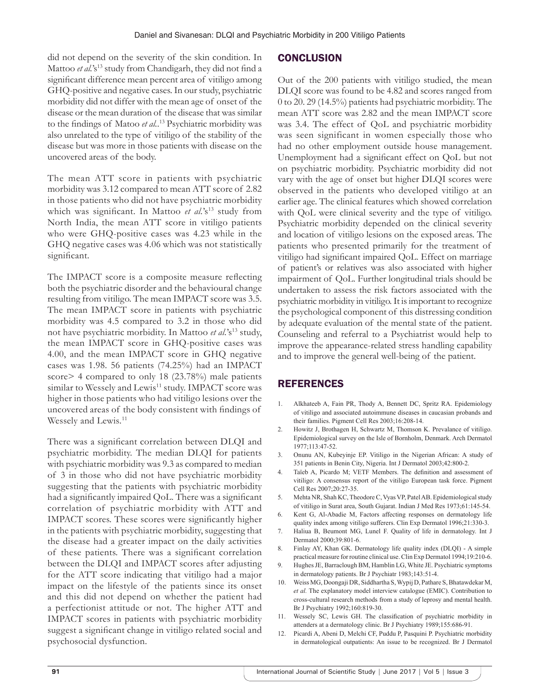did not depend on the severity of the skin condition. In Mattoo *et al.*'s<sup>13</sup> study from Chandigarh, they did not find a significant difference mean percent area of vitiligo among GHQ-positive and negative cases. In our study, psychiatric morbidity did not differ with the mean age of onset of the disease or the mean duration of the disease that was similar to the findings of Matoo *et al.*. 13 Psychiatric morbidity was also unrelated to the type of vitiligo of the stability of the disease but was more in those patients with disease on the uncovered areas of the body.

The mean ATT score in patients with psychiatric morbidity was 3.12 compared to mean ATT score of 2.82 in those patients who did not have psychiatric morbidity which was significant. In Mattoo *et al.*'s<sup>13</sup> study from North India, the mean ATT score in vitiligo patients who were GHQ-positive cases was 4.23 while in the GHQ negative cases was 4.06 which was not statistically significant.

The IMPACT score is a composite measure reflecting both the psychiatric disorder and the behavioural change resulting from vitiligo. The mean IMPACT score was 3.5. The mean IMPACT score in patients with psychiatric morbidity was 4.5 compared to 3.2 in those who did not have psychiatric morbidity. In Mattoo *et al.*'s<sup>13</sup> study, the mean IMPACT score in GHQ-positive cases was 4.00, and the mean IMPACT score in GHQ negative cases was 1.98. 56 patients (74.25%) had an IMPACT score> 4 compared to only 18 (23.78%) male patients similar to Wessely and Lewis<sup>11</sup> study. IMPACT score was higher in those patients who had vitiligo lesions over the uncovered areas of the body consistent with findings of Wessely and Lewis*.* 11

There was a significant correlation between DLQI and psychiatric morbidity. The median DLQI for patients with psychiatric morbidity was 9.3 as compared to median of 3 in those who did not have psychiatric morbidity suggesting that the patients with psychiatric morbidity had a significantly impaired QoL. There was a significant correlation of psychiatric morbidity with ATT and IMPACT scores. These scores were significantly higher in the patients with psychiatric morbidity, suggesting that the disease had a greater impact on the daily activities of these patients. There was a significant correlation between the DLQI and IMPACT scores after adjusting for the ATT score indicating that vitiligo had a major impact on the lifestyle of the patients since its onset and this did not depend on whether the patient had a perfectionist attitude or not. The higher ATT and IMPACT scores in patients with psychiatric morbidity suggest a significant change in vitiligo related social and psychosocial dysfunction.

### **CONCLUSION**

Out of the 200 patients with vitiligo studied, the mean DLQI score was found to be 4.82 and scores ranged from 0 to 20. 29 (14.5%) patients had psychiatric morbidity. The mean ATT score was 2.82 and the mean IMPACT score was 3.4. The effect of QoL and psychiatric morbidity was seen significant in women especially those who had no other employment outside house management. Unemployment had a significant effect on QoL but not on psychiatric morbidity. Psychiatric morbidity did not vary with the age of onset but higher DLQI scores were observed in the patients who developed vitiligo at an earlier age. The clinical features which showed correlation with QoL were clinical severity and the type of vitiligo. Psychiatric morbidity depended on the clinical severity and location of vitiligo lesions on the exposed areas. The patients who presented primarily for the treatment of vitiligo had significant impaired QoL. Effect on marriage of patient's or relatives was also associated with higher impairment of QoL. Further longitudinal trials should be undertaken to assess the risk factors associated with the psychiatric morbidity in vitiligo. It is important to recognize the psychological component of this distressing condition by adequate evaluation of the mental state of the patient. Counseling and referral to a Psychiatrist would help to improve the appearance-related stress handling capability and to improve the general well-being of the patient.

### REFERENCES

- 1. Alkhateeb A, Fain PR, Thody A, Bennett DC, Spritz RA. Epidemiology of vitiligo and associated autoimmune diseases in caucasian probands and their families. Pigment Cell Res 2003;16:208-14.
- 2. Howitz J, Brothagen H, Schwartz M, Thomson K. Prevalance of vitiligo. Epidemiological survey on the Isle of Bornholm, Denmark. Arch Dermatol 1977;113:47-52.
- 3. Onunu AN, Kubeyinje EP. Vitiligo in the Nigerian African: A study of 351 patients in Benin City, Nigeria. Int J Dermatol 2003;42:800-2.
- 4. Taïeb A, Picardo M; VETF Members. The definition and assessment of vitiligo: A consensus report of the vitiligo European task force. Pigment Cell Res 2007;20:27-35.
- 5. Mehta NR, Shah KC, Theodore C, Vyas VP, Patel AB. Epidemiological study of vitiligo in Surat area, South Gujarat. Indian J Med Res 1973;61:145-54.
- 6. Kent G, Al-Abadie M, Factors affecting responses on dermatology life quality index among vitiligo sufferers. Clin Exp Dermatol 1996;21:330-3.
- 7. Haliua B, Beumont MG, Lunel F. Quality of life in dermatology. Int J Dermatol 2000;39:801-6.
- 8. Finlay AY, Khan GK. Dermatology life quality index (DLQI) A simple practical measure for routine clinical use. Clin Exp Dermatol 1994;19:210-6.
- 9. Hughes JE, Barraclough BM, Hamblin LG, White JE. Psychiatric symptoms in dermatology patients. Br J Psychiatr 1983;143:51-4.
- 10. Weiss MG, Doongaji DR, Siddhartha S, Wypij D, Pathare S, Bhatawdekar M, *et al.* The explanatory model interview catalogue (EMIC). Contribution to cross-cultural research methods from a study of leprosy and mental health. Br J Psychiatry 1992;160:819-30.
- 11. Wessely SC, Lewis GH. The classification of psychiatric morbidity in attenders at a dermatology clinic. Br J Psychiatry 1989;155:686-91.
- 12. Picardi A, Abeni D, Melchi CF, Puddu P, Pasquini P. Psychiatric morbidity in dermatological outpatients: An issue to be recognized. Br J Dermatol